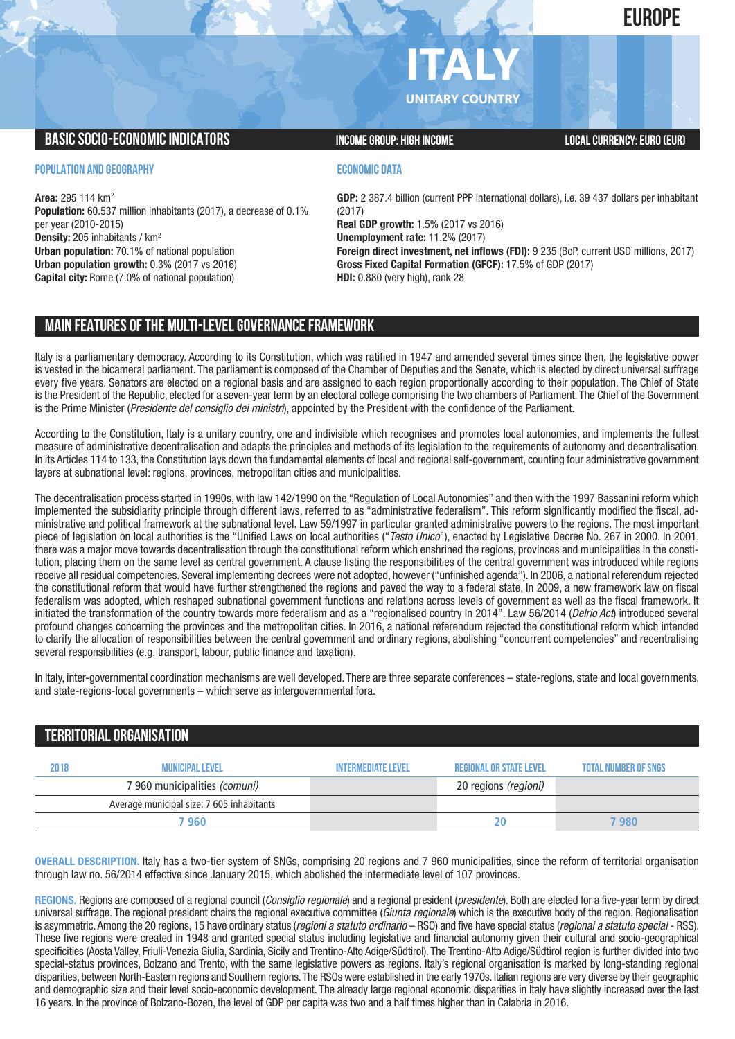# **EUROPE**

# **ITALY UNITARY COUNTRY**

# **BASIC SOCIO-ECONOMIC INDICATORS INCOME GROUP:** HIGH INCOME GROUP: HIGH INCOME

#### **POPULATION AND GEOGRAPHY**

**Area:** 295 114 km2 **Population:** 60.537 million inhabitants (2017), a decrease of 0.1% per year (2010-2015) **Density:** 205 inhabitants / km2 **Urban population:** 70.1% of national population **Urban population growth:** 0.3% (2017 vs 2016) **Capital city:** Rome (7.0% of national population)

## **ECONOMIC DATA**

**GDP:** 2 387.4 billion (current PPP international dollars), i.e. 39 437 dollars per inhabitant (2017) **Real GDP growth:** 1.5% (2017 vs 2016) **Unemployment rate:** 11.2% (2017) **Foreign direct investment, net inflows (FDI):** 9 235 (BoP, current USD millions, 2017) **Gross Fixed Capital Formation (GFCF):** 17.5% of GDP (2017) **HDI:** 0.880 (very high), rank 28

# **MAIN FEATURESOFTHE MULTI-LEVELGOVERNANCEFRAMEWORK**

Italy is a parliamentary democracy. According to its Constitution, which was ratified in 1947 and amended several times since then, the legislative power is vested in the bicameral parliament. The parliament is composed of the Chamber of Deputies and the Senate, which is elected by direct universal suffrage every five years. Senators are elected on a regional basis and are assigned to each region proportionally according to their population. The Chief of State is the President of the Republic, elected for a seven-year term by an electoral college comprising the two chambers of Parliament. The Chief of the Government is the Prime Minister (*Presidente del consiglio dei ministri*), appointed by the President with the confidence of the Parliament.

According to the Constitution, Italy is a unitary country, one and indivisible which recognises and promotes local autonomies, and implements the fullest measure of administrative decentralisation and adapts the principles and methods of its legislation to the requirements of autonomy and decentralisation. In its Articles 114 to 133, the Constitution lays down the fundamental elements of local and regional self-government, counting four administrative government layers at subnational level: regions, provinces, metropolitan cities and municipalities.

The decentralisation process started in 1990s, with law 142/1990 on the "Regulation of Local Autonomies" and then with the 1997 Bassanini reform which implemented the subsidiarity principle through different laws, referred to as "administrative federalism". This reform significantly modified the fiscal, administrative and political framework at the subnational level. Law 59/1997 in particular granted administrative powers to the regions. The most important piece of legislation on local authorities is the "Unified Laws on local authorities ("*Testo Unico*"), enacted by Legislative Decree No. 267 in 2000. In 2001, there was a major move towards decentralisation through the constitutional reform which enshrined the regions, provinces and municipalities in the constitution, placing them on the same level as central government. A clause listing the responsibilities of the central government was introduced while regions receive all residual competencies. Several implementing decrees were not adopted, however ("unfinished agenda"). In 2006, a national referendum rejected the constitutional reform that would have further strengthened the regions and paved the way to a federal state. In 2009, a new framework law on fiscal federalism was adopted, which reshaped subnational government functions and relations across levels of government as well as the fiscal framework. It initiated the transformation of the country towards more federalism and as a "regionalised country In 2014". Law 56/2014 (*Delrio Act*) introduced several profound changes concerning the provinces and the metropolitan cities. In 2016, a national referendum rejected the constitutional reform which intended to clarify the allocation of responsibilities between the central government and ordinary regions, abolishing "concurrent competencies" and recentralising several responsibilities (e.g. transport, labour, public finance and taxation).

In Italy, inter-governmental coordination mechanisms are well developed. There are three separate conferences – state-regions, state and local governments, and state-regions-local governments – which serve as intergovernmental fora.

# **TERRITORIALORGANISATION**

| 2018 | <b>MUNICIPAL LEVEL</b>                    | <b>INTERMEDIATE LEVEL</b> | <b>REGIONAL OR STATE LEVEL</b> | <b>TOTAL NUMBER OF SNGS</b> |
|------|-------------------------------------------|---------------------------|--------------------------------|-----------------------------|
|      | 7 960 municipalities (comuni)             |                           | 20 regions (regioni)           |                             |
|      | Average municipal size: 7 605 inhabitants |                           |                                |                             |
|      | 7 960                                     |                           | 20                             | 7 980                       |

**OVERALL DESCRIPTION.** Italy has a two-tier system of SNGs, comprising 20 regions and 7 960 municipalities, since the reform of territorial organisation through law no. 56/2014 effective since January 2015, which abolished the intermediate level of 107 provinces.

**REGIONS.** Regions are composed of a regional council (*Consiglio regionale*) and a regional president (*presidente*). Both are elected for a five-year term by direct universal suffrage. The regional president chairs the regional executive committee (*Giunta regionale*) which is the executive body of the region. Regionalisation is asymmetric.Among the 20 regions, 15 have ordinary status (*regioni a statuto ordinario* – RSO) and five have special status (*regionai a statuto special* - RSS). These five regions were created in 1948 and granted special status including legislative and financial autonomy given their cultural and socio-geographical specificities (Aosta Valley, Friuli-Venezia Giulia, Sardinia, Sicily and Trentino-Alto Adige/Südtirol). The Trentino-Alto Adige/Südtirol region is further divided into two special-status provinces, Bolzano and Trento, with the same legislative powers as regions. Italy's regional organisation is marked by long-standing regional disparities, between North-Eastern regions and Southern regions.The RSOs were established in the early 1970s. Italian regions are very diverse by their geographic and demographic size and their level socio-economic development. The already large regional economic disparities in Italy have slightly increased over the last 16 years. In the province of Bolzano-Bozen, the level of GDP per capita was two and a half times higher than in Calabria in 2016.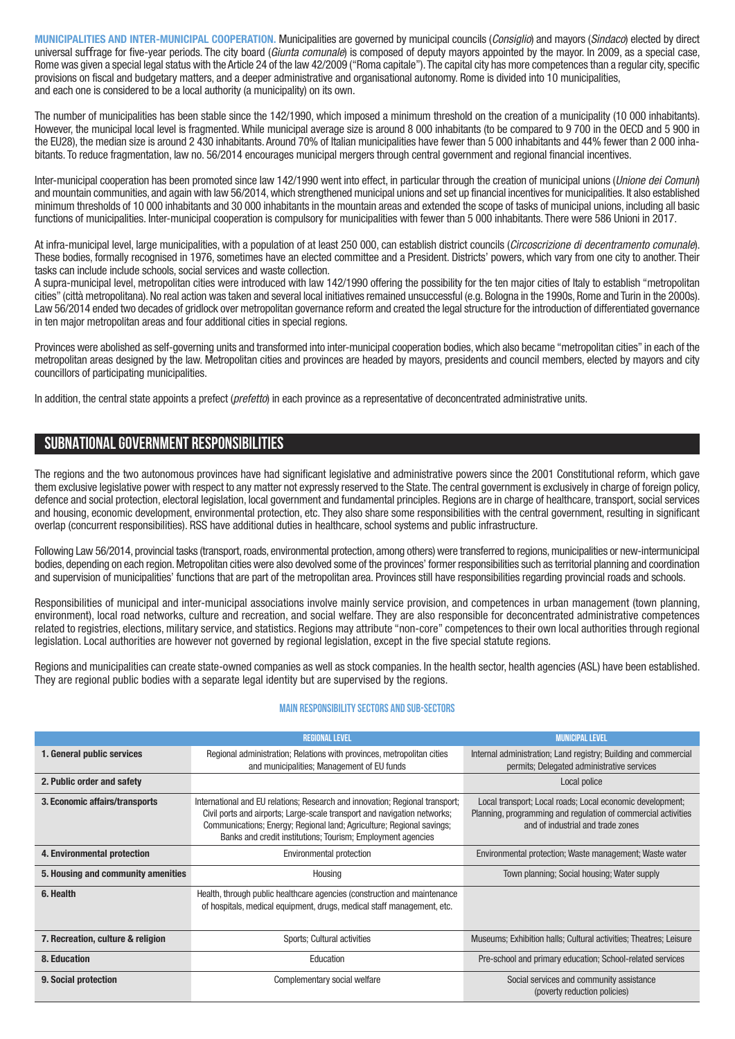**MUNICIPALITIES AND INTER-MUNICIPAL COOPERATION.** Municipalities are governed by municipal councils (*Consiglio*) and mayors (*Sindaco*) elected by direct universal suffrage for five-year periods. The city board (*Giunta comunale*) is composed of deputy mayors appointed by the mayor. In 2009, as a special case, Rome was given a special legal status with the Article 24 of the law 42/2009 ("Roma capitale"). The capital city has more competences than a regular city, specific provisions on fiscal and budgetary matters, and a deeper administrative and organisational autonomy. Rome is divided into 10 municipalities, and each one is considered to be a local authority (a municipality) on its own.

The number of municipalities has been stable since the 142/1990, which imposed a minimum threshold on the creation of a municipality (10 000 inhabitants). However, the municipal local level is fragmented. While municipal average size is around 8 000 inhabitants (to be compared to 9 700 in the OECD and 5 900 in the EU28), the median size is around 2 430 inhabitants. Around 70% of Italian municipalities have fewer than 5 000 inhabitants and 44% fewer than 2 000 inhabitants. To reduce fragmentation, law no. 56/2014 encourages municipal mergers through central government and regional financial incentives.

Inter-municipal cooperation has been promoted since law 142/1990 went into effect, in particular through the creation of municipal unions (*Unione dei Comuni*) and mountain communities, and again with law 56/2014,which strengthened municipal unions and set up financial incentives for municipalities. It also established minimum thresholds of 10 000 inhabitants and 30 000 inhabitants in the mountain areas and extended the scope of tasks of municipal unions, including all basic functions of municipalities. Inter-municipal cooperation is compulsory for municipalities with fewer than 5 000 inhabitants. There were 586 Unioni in 2017.

At infra-municipal level, large municipalities, with a population of at least 250 000, can establish district councils (*Circoscrizione di decentramento comunale*). These bodies, formally recognised in 1976, sometimes have an elected committee and a President. Districts' powers, which vary from one city to another. Their tasks can include include schools, social services and waste collection.

A supra-municipal level, metropolitan cities were introduced with law 142/1990 offering the possibility for the ten major cities of Italy to establish "metropolitan cities" (città metropolitana).No real action was taken and several local initiatives remained unsuccessful (e.g. Bologna in the 1990s, Rome and Turin in the 2000s). Law 56/2014 ended two decades of gridlock over metropolitan governance reform and created the legal structure for the introduction of differentiated governance in ten major metropolitan areas and four additional cities in special regions.

Provinces were abolished as self-governing units and transformed into inter-municipal cooperation bodies, which also became "metropolitan cities" in each of the metropolitan areas designed by the law. Metropolitan cities and provinces are headed by mayors, presidents and council members, elected by mayors and city councillors of participating municipalities.

In addition, the central state appoints a prefect (*prefetto*) in each province as a representative of deconcentrated administrative units.

# **SUBNATIONALGOVERNMENT RESPONSIBILITIES**

The regions and the two autonomous provinces have had significant legislative and administrative powers since the 2001 Constitutional reform, which gave them exclusive legislative power with respect to any matter not expressly reserved to the State.The central government is exclusively in charge of foreign policy, defence and social protection, electoral legislation, local government and fundamental principles. Regions are in charge of healthcare, transport, social services and housing, economic development, environmental protection, etc. They also share some responsibilities with the central government, resulting in significant overlap (concurrent responsibilities). RSS have additional duties in healthcare, school systems and public infrastructure.

Following Law 56/2014, provincial tasks (transport, roads, environmental protection, among others) were transferred to regions, municipalities or new-intermunicipal bodies, depending on each region.Metropolitan cities were also devolved some of the provinces' former responsibilities such as territorial planning and coordination and supervision of municipalities' functions that are part of the metropolitan area. Provinces still have responsibilities regarding provincial roads and schools.

Responsibilities of municipal and inter-municipal associations involve mainly service provision, and competences in urban management (town planning, environment), local road networks, culture and recreation, and social welfare. They are also responsible for deconcentrated administrative competences related to registries, elections, military service, and statistics. Regions may attribute "non-core" competences to their own local authorities through regional legislation. Local authorities are however not governed by regional legislation, except in the five special statute regions.

Regions and municipalities can create state-owned companies as well as stock companies. In the health sector, health agencies (ASL) have been established. They are regional public bodies with a separate legal identity but are supervised by the regions.

## **Main responsibilitysectors and sub-sectors**

|                                    | <b>REGIONAL LEVEL</b>                                                                                                                                                                                                                                                                            | <b>MUNICIPAL LEVEL</b>                                                                                                                                          |  |
|------------------------------------|--------------------------------------------------------------------------------------------------------------------------------------------------------------------------------------------------------------------------------------------------------------------------------------------------|-----------------------------------------------------------------------------------------------------------------------------------------------------------------|--|
| 1. General public services         | Regional administration; Relations with provinces, metropolitan cities<br>and municipalities; Management of EU funds                                                                                                                                                                             | Internal administration; Land registry; Building and commercial<br>permits; Delegated administrative services                                                   |  |
| 2. Public order and safety         |                                                                                                                                                                                                                                                                                                  | Local police                                                                                                                                                    |  |
| 3. Economic affairs/transports     | International and EU relations; Research and innovation; Regional transport;<br>Civil ports and airports; Large-scale transport and navigation networks;<br>Communications; Energy; Regional land; Agriculture; Regional savings;<br>Banks and credit institutions; Tourism; Employment agencies | Local transport; Local roads; Local economic development;<br>Planning, programming and regulation of commercial activities<br>and of industrial and trade zones |  |
| 4. Environmental protection        | Environmental protection                                                                                                                                                                                                                                                                         | Environmental protection; Waste management; Waste water                                                                                                         |  |
| 5. Housing and community amenities | Housing                                                                                                                                                                                                                                                                                          | Town planning; Social housing; Water supply                                                                                                                     |  |
| 6. Health                          | Health, through public healthcare agencies (construction and maintenance<br>of hospitals, medical equipment, drugs, medical staff management, etc.                                                                                                                                               |                                                                                                                                                                 |  |
| 7. Recreation, culture & religion  | Sports: Cultural activities                                                                                                                                                                                                                                                                      | Museums; Exhibition halls; Cultural activities; Theatres; Leisure                                                                                               |  |
| 8. Education                       | Education                                                                                                                                                                                                                                                                                        | Pre-school and primary education; School-related services                                                                                                       |  |
| 9. Social protection               | Complementary social welfare                                                                                                                                                                                                                                                                     | Social services and community assistance<br>(poverty reduction policies)                                                                                        |  |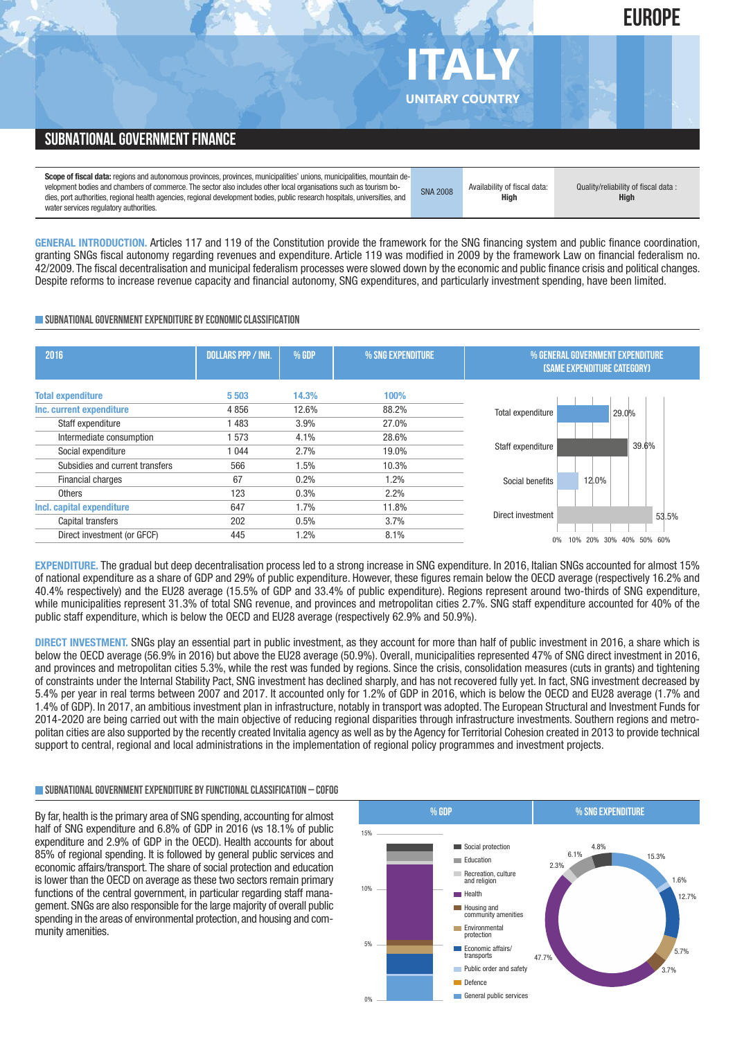# **SUBNATIONAL GOVERNMENT FINANCE**

**Scope of fiscal data:** regions and autonomous provinces, provinces, municipalities' unions, municipalities, mountain development bodies and chambers of commerce. The sector also includes other local organisations such as tourism bodies, port authorities, regional health agencies, regional development bodies, public research hospitals, universities, and water services regulatory authorities.

**GENERAL INTRODUCTION.** Articles 117 and 119 of the Constitution provide the framework for the SNG financing system and public finance coordination, granting SNGs fiscal autonomy regarding revenues and expenditure. Article 119 was modified in 2009 by the framework Law on financial federalism no. 42/2009. The fiscal decentralisation and municipal federalism processes were slowed down by the economic and public finance crisis and political changes. Despite reforms to increase revenue capacity and financial autonomy, SNG expenditures, and particularly investment spending, have been limited.

#### **SUBNATIONAL GOVERNMENT EXPENDITURE BY ECONOMIC CLASSIFICATION**

| 2016                                                 | <b>DOLLARS PPP / INH.</b> | % GDP          | % SNG EXPENDITURE | % GENERAL GOVERNMENT EXPENDITURE<br><b>(SAME EXPENDITURE CATEGORY)</b> |
|------------------------------------------------------|---------------------------|----------------|-------------------|------------------------------------------------------------------------|
| <b>Total expenditure</b><br>Inc. current expenditure | 5503<br>4856              | 14.3%<br>12.6% | 100%<br>88.2%     |                                                                        |
| Staff expenditure                                    | 1483                      | 3.9%           | 27.0%             | Total expenditure<br>29.0%                                             |
| Intermediate consumption                             | 1573                      | 4.1%           | 28.6%             |                                                                        |
| Social expenditure                                   | 1 0 4 4                   | 2.7%           | 19.0%             | 39.6%<br>Staff expenditure                                             |
| Subsidies and current transfers                      | 566                       | 1.5%           | 10.3%             |                                                                        |
| Financial charges                                    | 67                        | 0.2%           | 1.2%              | 12.0%<br>Social benefits                                               |
| Others                                               | 123                       | 0.3%           | 2.2%              |                                                                        |
| Incl. capital expenditure                            | 647                       | 1.7%           | 11.8%             |                                                                        |
| Capital transfers                                    | 202                       | 0.5%           | 3.7%              | Direct investment<br>53.5%                                             |
| Direct investment (or GFCF)                          | 445                       | 1.2%           | 8.1%              | 10%<br>0%<br>20% 30%<br>40% 50% 60%                                    |

**EXPENDITURE.** The gradual but deep decentralisation process led to a strong increase in SNG expenditure. In 2016, Italian SNGs accounted for almost 15% of national expenditure as a share of GDP and 29% of public expenditure. However, these figures remain below the OECD average (respectively 16.2% and 40.4% respectively) and the EU28 average (15.5% of GDP and 33.4% of public expenditure). Regions represent around two-thirds of SNG expenditure, while municipalities represent 31.3% of total SNG revenue, and provinces and metropolitan cities 2.7%. SNG staff expenditure accounted for 40% of the public staff expenditure, which is below the OECD and EU28 average (respectively 62.9% and 50.9%).

**DIRECT INVESTMENT.** SNGs play an essential part in public investment, as they account for more than half of public investment in 2016, a share which is below the OECD average (56.9% in 2016) but above the EU28 average (50.9%). Overall, municipalities represented 47% of SNG direct investment in 2016, and provinces and metropolitan cities 5.3%, while the rest was funded by regions. Since the crisis, consolidation measures (cuts in grants) and tightening of constraints under the Internal Stability Pact, SNG investment has declined sharply, and has not recovered fully yet. In fact, SNG investment decreased by 5.4% per year in real terms between 2007 and 2017. It accounted only for 1.2% of GDP in 2016, which is below the OECD and EU28 average (1.7% and 1.4% of GDP). In 2017, an ambitious investment plan in infrastructure, notably in transport was adopted. The European Structural and Investment Funds for 2014-2020 are being carried out with the main objective of reducing regional disparities through infrastructure investments. Southern regions and metropolitan cities are also supported by the recently created Invitalia agency as well as by the Agency for Territorial Cohesion created in 2013 to provide technical support to central, regional and local administrations in the implementation of regional policy programmes and investment projects.

#### **SUBNATIONALGOVERNMENTEXPENDITURE BYFUNCTIONALCLASSIFICATION – COFOG**

By far, health is the primary area of SNG spending, accounting for almost half of SNG expenditure and 6.8% of GDP in 2016 (vs 18.1% of public expenditure and 2.9% of GDP in the OECD). Health accounts for about 85% of regional spending. It is followed by general public services and economic affairs/transport. The share of social protection and education is lower than the OECD on average as these two sectors remain primary functions of the central government, in particular regarding staff management. SNGs are also responsible for the large majority of overall public spending in the areas of environmental protection, and housing and community amenities.





SNA 2008 Availability of fiscal data: **High**

Quality/reliability of fiscal data : **High**

**UNITARY COUNTRY**

**ITALY**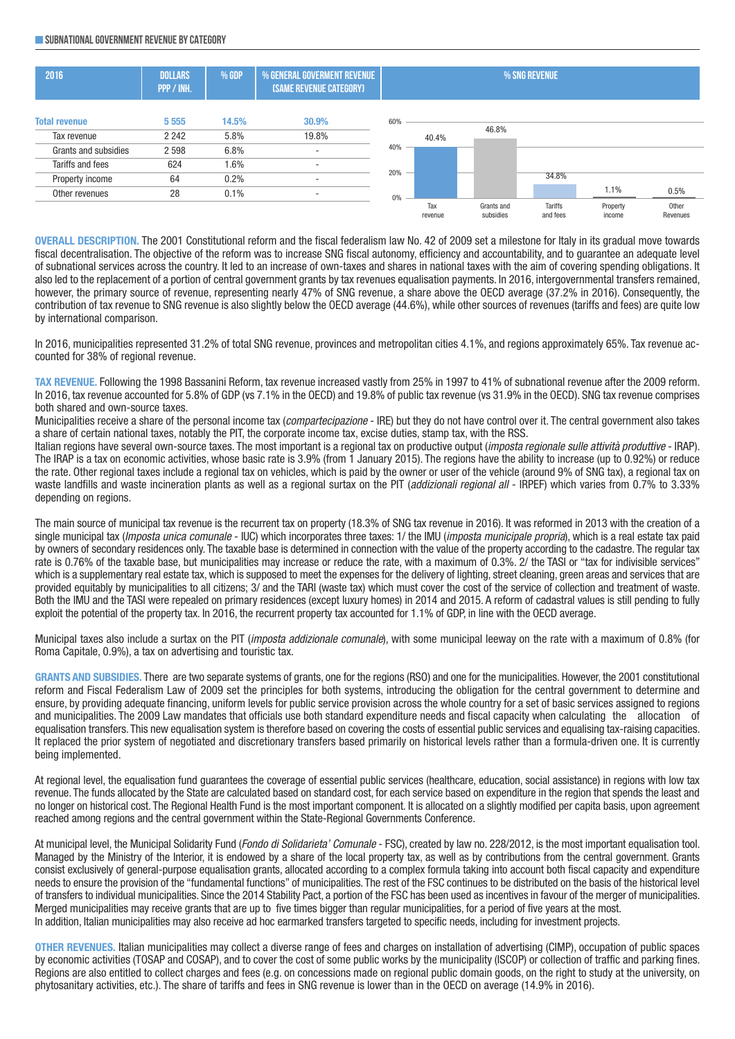#### **SUBNATIONALGOVERNMENT REVENUE BYCATEGORY**



**OVERALL DESCRIPTION.** The 2001 Constitutional reform and the fiscal federalism law No. 42 of 2009 set a milestone for Italy in its gradual move towards fiscal decentralisation. The objective of the reform was to increase SNG fiscal autonomy, efficiency and accountability, and to guarantee an adequate level of subnational services across the country. It led to an increase of own-taxes and shares in national taxes with the aim of covering spending obligations. It also led to the replacement of a portion of central government grants by tax revenues equalisation payments. In 2016, intergovernmental transfers remained, however, the primary source of revenue, representing nearly 47% of SNG revenue, a share above the OECD average (37.2% in 2016). Consequently, the contribution of tax revenue to SNG revenue is also slightly below the OECD average (44.6%), while other sources of revenues (tariffs and fees) are quite low by international comparison.

In 2016, municipalities represented 31.2% of total SNG revenue, provinces and metropolitan cities 4.1%, and regions approximately 65%. Tax revenue accounted for 38% of regional revenue.

**TAX REVENUE.** Following the 1998 Bassanini Reform, tax revenue increased vastly from 25% in 1997 to 41% of subnational revenue after the 2009 reform. In 2016, tax revenue accounted for 5.8% of GDP (vs 7.1% in the OECD) and 19.8% of public tax revenue (vs 31.9% in the OECD). SNG tax revenue comprises both shared and own-source taxes.

Municipalities receive a share of the personal income tax (*compartecipazione* - IRE) but they do not have control over it. The central government also takes a share of certain national taxes, notably the PIT, the corporate income tax, excise duties, stamp tax, with the RSS.

Italian regions have several own-source taxes. The most important is a regional tax on productive output (*imposta regionale sulle attività produttive* - IRAP). The IRAP is a tax on economic activities, whose basic rate is 3.9% (from 1 January 2015). The regions have the ability to increase (up to 0.92%) or reduce the rate. Other regional taxes include a regional tax on vehicles, which is paid by the owner or user of the vehicle (around 9% of SNG tax), a regional tax on waste landfills and waste incineration plants as well as a regional surtax on the PIT (*addizionali regional all* - IRPEF) which varies from 0.7% to 3.33% depending on regions.

The main source of municipal tax revenue is the recurrent tax on property (18.3% of SNG tax revenue in 2016). It was reformed in 2013 with the creation of a single municipal tax (*Imposta unica comunale* - IUC) which incorporates three taxes: 1/ the IMU (*imposta municipale propria*), which is a real estate tax paid by owners of secondary residences only. The taxable base is determined in connection with the value of the property according to the cadastre. The regular tax rate is 0.76% of the taxable base, but municipalities may increase or reduce the rate, with a maximum of 0.3%. 2/ the TASI or "tax for indivisible services" which is a supplementary real estate tax, which is supposed to meet the expenses for the delivery of lighting, street cleaning, green areas and services that are provided equitably by municipalities to all citizens; 3/ and the TARI (waste tax) which must cover the cost of the service of collection and treatment of waste. Both the IMU and the TASI were repealed on primary residences (except luxury homes) in 2014 and 2015. A reform of cadastral values is still pending to fully exploit the potential of the property tax. In 2016, the recurrent property tax accounted for 1.1% of GDP, in line with the OECD average.

Municipal taxes also include a surtax on the PIT (*imposta addizionale comunale*), with some municipal leeway on the rate with a maximum of 0.8% (for Roma Capitale, 0.9%), a tax on advertising and touristic tax.

**GRANTS AND SUBSIDIES.** There are two separate systems of grants, one for the regions (RSO) and one for the municipalities. However, the 2001 constitutional reform and Fiscal Federalism Law of 2009 set the principles for both systems, introducing the obligation for the central government to determine and ensure, by providing adequate financing, uniform levels for public service provision across the whole country for a set of basic services assigned to regions and municipalities. The 2009 Law mandates that officials use both standard expenditure needs and fiscal capacity when calculating the allocation of equalisation transfers. This new equalisation system is therefore based on covering the costs of essential public services and equalising tax-raising capacities. It replaced the prior system of negotiated and discretionary transfers based primarily on historical levels rather than a formula-driven one. It is currently being implemented.

At regional level, the equalisation fund guarantees the coverage of essential public services (healthcare, education, social assistance) in regions with low tax revenue. The funds allocated by the State are calculated based on standard cost, for each service based on expenditure in the region that spends the least and no longer on historical cost. The Regional Health Fund is the most important component. It is allocated on a slightly modified per capita basis, upon agreement reached among regions and the central government within the State-Regional Governments Conference.

At municipal level, the Municipal Solidarity Fund (*Fondo di Solidarieta' Comunale* - FSC), created by law no. 228/2012, is the most important equalisation tool. Managed by the Ministry of the Interior, it is endowed by a share of the local property tax, as well as by contributions from the central government. Grants consist exclusively of general-purpose equalisation grants, allocated according to a complex formula taking into account both fiscal capacity and expenditure needs to ensure the provision of the "fundamental functions" of municipalities. The rest of the FSC continues to be distributed on the basis of the historical level of transfers to individual municipalities. Since the 2014 Stability Pact, a portion of the FSC has been used as incentives in favour of the merger of municipalities. Merged municipalities may receive grants that are up to five times bigger than regular municipalities, for a period of five years at the most. In addition, Italian municipalities may also receive ad hoc earmarked transfers targeted to specific needs, including for investment projects.

**OTHER REVENUES.** Italian municipalities may collect a diverse range of fees and charges on installation of advertising (CIMP), occupation of public spaces by economic activities (TOSAP and COSAP), and to cover the cost of some public works by the municipality (ISCOP) or collection of traffic and parking fines. Regions are also entitled to collect charges and fees (e.g. on concessions made on regional public domain goods, on the right to study at the university, on phytosanitary activities, etc.). The share of tariffs and fees in SNG revenue is lower than in the OECD on average (14.9% in 2016).